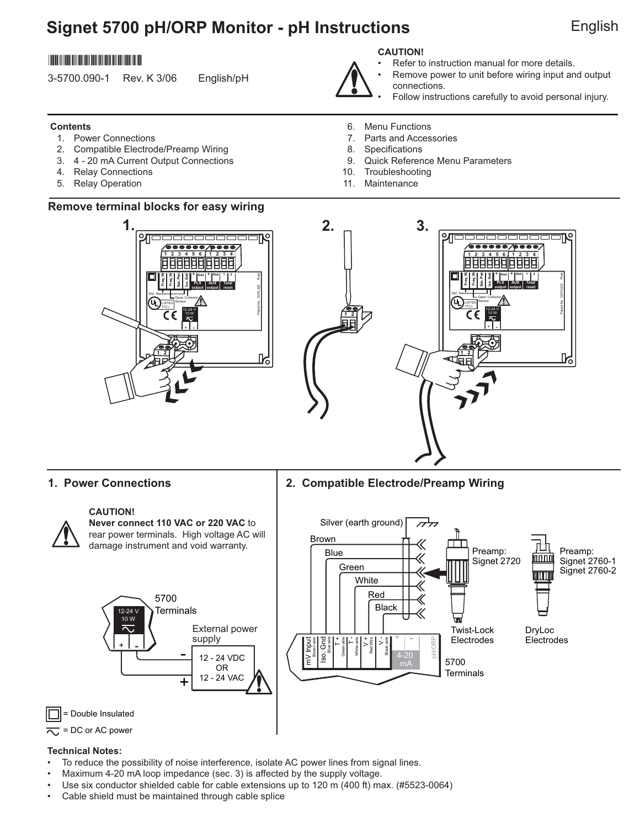# **Signet 5700 pH/ORP Monitor - pH Instructions** English

## \*3-5700.090-1\*

3-5700.090-1 Rev. K 3/06 English/pH

## **Contents**

- 1. Power Connections
- 2. Compatible Electrode/Preamp Wiring
- 3. 4 20 mA Current Output Connections
- 4. Relay Connections
- 5. Relay Operation

## **Remove terminal blocks for easy wiring**

#### **1. 2. 3.**∕๏๏๏๏  **1 2 3 4 5 6 1 2 3 4 Freq. IN Freq. IN Sen. Pwr. Iso. Gnd + Gnd + 1 2 Gnd** Patent No. D376,328 Flow **PLS AUX Total output output reset** Std. Sensor Open Collector **UL** Sensor LISTED 12-24 V 10 W <u>+ I -</u>  **1 2**



- Refer to instruction manual for more details.
- Remove power to unit before wiring input and output
- 
- connections. Follow instructions carefully to avoid personal injury.
- 6. Menu Functions
- 7. Parts and Accessories
- 8. Specifications
- 9. Quick Reference Menu Parameters
- 10. Troubleshooting
- 11. Maintenance



## **1. Power Connections 2. Compatible Electrode/Preamp Wiring**



#### **CAUTION!**

**Never connect 110 VAC or 220 VAC** to rear power terminals. High voltage AC will damage instrument and void warranty.





= Double Insulated



#### **Technical Notes:**

- To reduce the possibility of noise interference, isolate AC power lines from signal lines.
- Maximum 4-20 mA loop impedance (sec. 3) is affected by the supply voltage.
- Use six conductor shielded cable for cable extensions up to 120 m (400 ft) max. (#5523-0064)
- Cable shield must be maintained through cable splice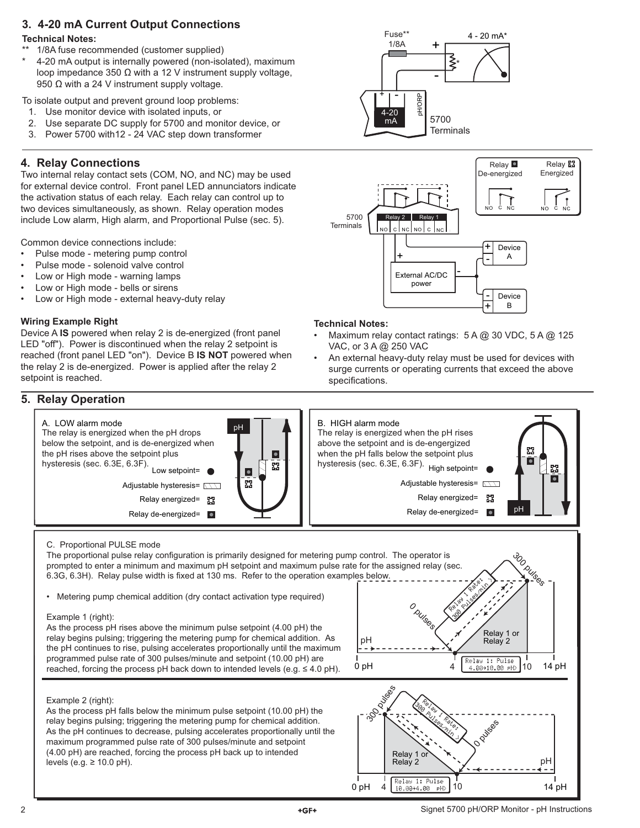## **3. 4-20 mA Current Output Connections**

#### **Technical Notes:**

- 1/8A fuse recommended (customer supplied)
- 4-20 mA output is internally powered (non-isolated), maximum loop impedance 350  $Ω$  with a 12 V instrument supply voltage, 950 Ω with a 24 V instrument supply voltage.

To isolate output and prevent ground loop problems:

- 1. Use monitor device with isolated inputs, or
- 2. Use separate DC supply for 5700 and monitor device, or
- 3. Power 5700 with12 24 VAC step down transformer

## **4. Relay Connections**

Two internal relay contact sets (COM, NO, and NC) may be used for external device control. Front panel LED annunciators indicate the activation status of each relay. Each relay can control up to two devices simultaneously, as shown. Relay operation modes include Low alarm, High alarm, and Proportional Pulse (sec. 5).

Common device connections include:

- Pulse mode metering pump control
- Pulse mode solenoid valve control
- Low or High mode warning lamps
- Low or High mode bells or sirens
- Low or High mode external heavy-duty relay

## **Wiring Example Right**

Device A **IS** powered when relay 2 is de-energized (front panel LED "off"). Power is discontinued when the relay 2 setpoint is reached (front panel LED "on"). Device B **IS NOT** powered when the relay 2 is de-energized. Power is applied after the relay 2 setpoint is reached.

## **5. Relay Operation**





#### **Technical Notes:**

- Maximum relay contact ratings: 5 A @ 30 VDC, 5 A @ 125 VAC, or 3 A @ 250 VAC
- An external heavy-duty relay must be used for devices with surge currents or operating currents that exceed the above specifications.



#### C. Proportional PULSE mode

The proportional pulse relay configuration is primarily designed for metering pump control. The operator is prompted to enter a minimum and maximum pH setpoint and maximum pulse rate for the assigned relay (sec. 6.3G, 6.3H). Relay pulse width is fixed at 130 ms. Refer to the operation examples below.

• Metering pump chemical addition (dry contact activation type required)

#### Example 1 (right):

As the process pH rises above the minimum pulse setpoint (4.00 pH) the relay begins pulsing; triggering the metering pump for chemical addition. As the pH continues to rise, pulsing accelerates proportionally until the maximum programmed pulse rate of 300 pulses/minute and setpoint (10.00 pH) are reached, forcing the process pH back down to intended levels (e.g.  $\leq 4.0$  pH).



## Example 2 (right):

As the process pH falls below the minimum pulse setpoint (10.00 pH) the relay begins pulsing; triggering the metering pump for chemical addition. As the pH continues to decrease, pulsing accelerates proportionally until the maximum programmed pulse rate of 300 pulses/minute and setpoint (4.00 pH) are reached, forcing the process pH back up to intended levels (e.g.  $\geq 10.0$  pH).

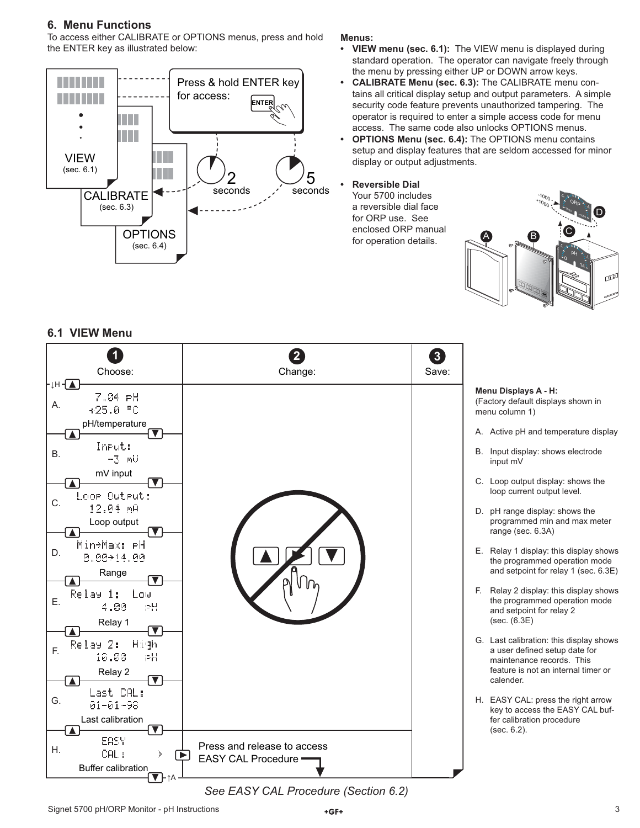## **6. Menu Functions**

To access either CALIBRATE or OPTIONS menus, press and hold the ENTER key as illustrated below:



#### **Menus:**

- **VIEW menu (sec. 6.1):** The VIEW menu is displayed during standard operation. The operator can navigate freely through the menu by pressing either UP or DOWN arrow keys.
- **CALIBRATE Menu (sec. 6.3):** The CALIBRATE menu contains all critical display setup and output parameters. A simple security code feature prevents unauthorized tampering. The operator is required to enter a simple access code for menu access. The same code also unlocks OPTIONS menus.
- **OPTIONS Menu (sec. 6.4):** The OPTIONS menu contains setup and display features that are seldom accessed for minor display or output adjustments.
- **Reversible Dial**

 Your 5700 includes a reversible dial face for ORP use. See enclosed ORP manual for operation details.



#### **1 2 3** Choose: Change: Save: ⊥H <del>T</del> **Menu Displays A - H:**  7.04 PH (Factory default displays shown in A.  $+25.0$  °C menu column 1) pH/temperature A. Active pH and temperature display  $\overline{\phantom{a}}$ Input: B. B. Input display: shows electrode  $-3$   $mV$  input mV mV input C. Loop output display: shows the K loop current output level. Loop Output: C.  $12.94$   $mH$ D. pH range display: shows the Loop output programmed min and max meter range (sec. 6.3A)  $\blacksquare$  $\blacktriangledown$ Min+Max: PH E. Relay 1 display: this display shows D.  $0.00 + 14.00$ the programmed operation mode and setpoint for relay 1 (sec. 6.3E) Range  $\overline{\blacktriangle}$  $\overline{\mathbf{v}}$ F. Relay 2 display: this display shows Relay 1: Low E. the programmed operation mode 4.00 .PH and setpoint for relay 2 (sec. (6.3E) Relay 1  $\overline{\blacktriangle}$  $\overline{\mathbf v}$ G. Last calibration: this display shows Relay 2: High F. a user defined setup date for 10.00 РH maintenance records. This feature is not an internal timer or Relay 2 ∩ calender. Last CAL: G. H. EASY CAL: press the right arrow  $01 - 01 - 98$ key to access the EASY CAL buf-Last calibration fer calibration procedure (sec. 6.2).  $\blacktriangle$ EASY Press and release to access H. CAL: Þ.  $\mathsf{F}$ EASY CAL Procedure Buffer calibration ↑A *See EASY CAL Procedure (Section 6.2)*

## **6.1 VIEW Menu**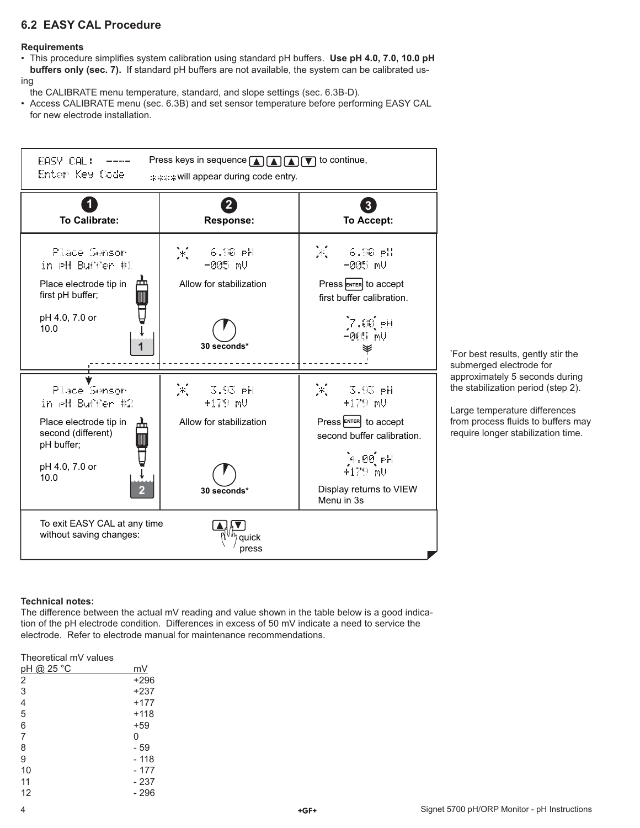## **6.2 EASY CAL Procedure**

#### **Requirements**

- This procedure simplifies system calibration using standard pH buffers. Use pH 4.0, 7.0, 10.0 pH  **buffers only (sec. 7).** If standard pH buffers are not available, the system can be calibrated us-
- ing
- the CALIBRATE menu temperature, standard, and slope settings (sec. 6.3B-D).
- Access CALIBRATE menu (sec. 6.3B) and set sensor temperature before performing EASY CAL for new electrode installation.



#### **Technical notes:**

The difference between the actual mV reading and value shown in the table below is a good indication of the pH electrode condition. Differences in excess of 50 mV indicate a need to service the electrode. Refer to electrode manual for maintenance recommendations.

#### Theoretical mV values

| pH @ 25 °C     | mV       |
|----------------|----------|
| 2              | $+296$   |
| 3              | $+237$   |
| $\overline{4}$ | $+177$   |
| 5              | $+118$   |
| 6              | $+59$    |
| 7              | $\Omega$ |
| 8              | - 59     |
| 9              | $-118$   |
| 10             | - 177    |
| 11             | - 237    |
| 12             | - 296    |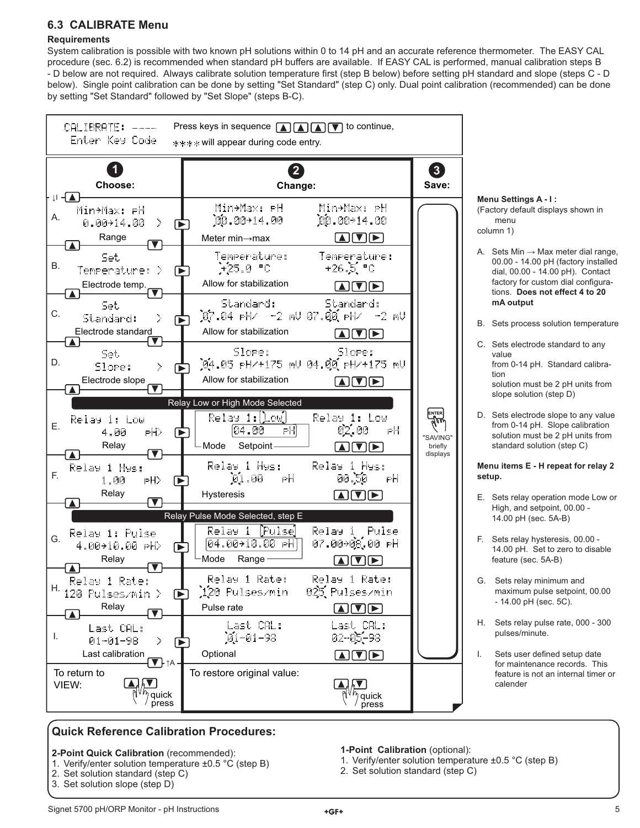## **6.3 CALIBRATE Menu**

## **Requirements**

System calibration is possible with two known pH solutions within 0 to 14 pH and an accurate reference thermometer. The EASY CAL procedure (sec. 6.2) is recommended when standard pH buffers are available. If EASY CAL is performed, manual calibration steps B - D below are not required. Always calibrate solution temperature first (step B below) before setting pH standard and slope (steps C - D below). Single point calibration can be done by setting "Set Standard" (step C) only. Dual point calibration (recommended) can be done by setting "Set Standard" followed by "Set Slope" (steps B-C).



## **Quick Reference Calibration Procedures:**

- **2-Point Quick Calibration** (recommended):
- 1. Verify/enter solution temperature ±0.5 °C (step B)
- 2. Set solution standard (step C)
- 3. Set solution slope (step D)
- **1-Point Calibration** (optional):
- 1. Verify/enter solution temperature ±0.5 °C (step B)
- 2. Set solution standard (step C)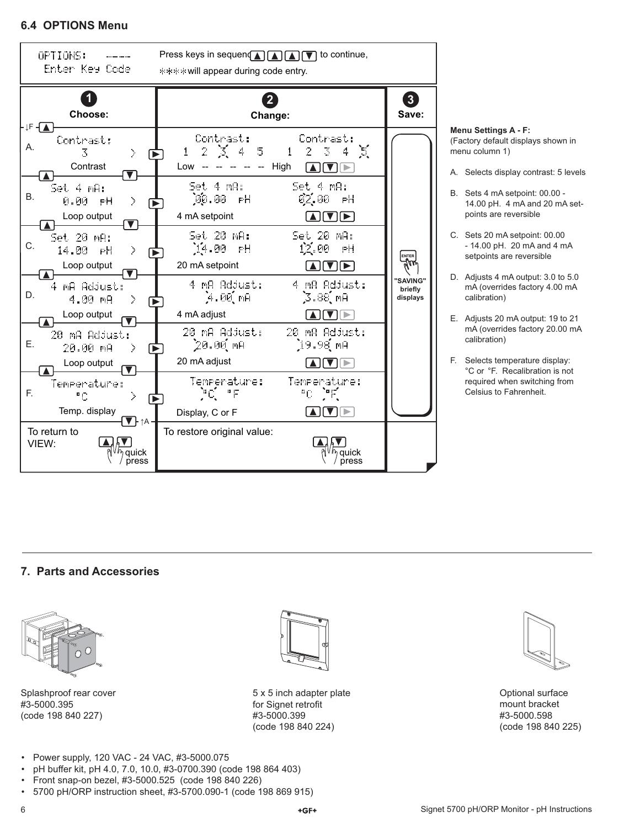## **6.4 OPTIONS Menu**



# (Factory default displays shown in

- A. Selects display contrast: 5 levels
- B. Sets 4 mA setpoint: 00.00 14.00 pH. 4 mA and 20 mA set-
- C. Sets 20 mA setpoint: 00.00 - 14.00 pH. 20 mA and 4 mA setpoints are reversible
- D. Adjusts 4 mA output: 3.0 to 5.0 mA (overrides factory 4.00 mA
- E. Adjusts 20 mA output: 19 to 21 mA (overrides factory 20.00 mA
- F. Selects temperature display: °C or °F. Recalibration is not required when switching from Celsius to Fahrenheit.

## **7. Parts and Accessories**



Splashproof rear cover #3-5000.395 (code 198 840 227)



5 x 5 inch adapter plate for Signet retrofit #3-5000.399 (code 198 840 224)



Optional surface mount bracket #3-5000.598 (code 198 840 225)

- Power supply, 120 VAC 24 VAC, #3-5000.075
- pH buffer kit, pH 4.0, 7.0, 10.0, #3-0700.390 (code 198 864 403)
- Front snap-on bezel, #3-5000.525 (code 198 840 226)
- 5700 pH/ORP instruction sheet, #3-5700.090-1 (code 198 869 915)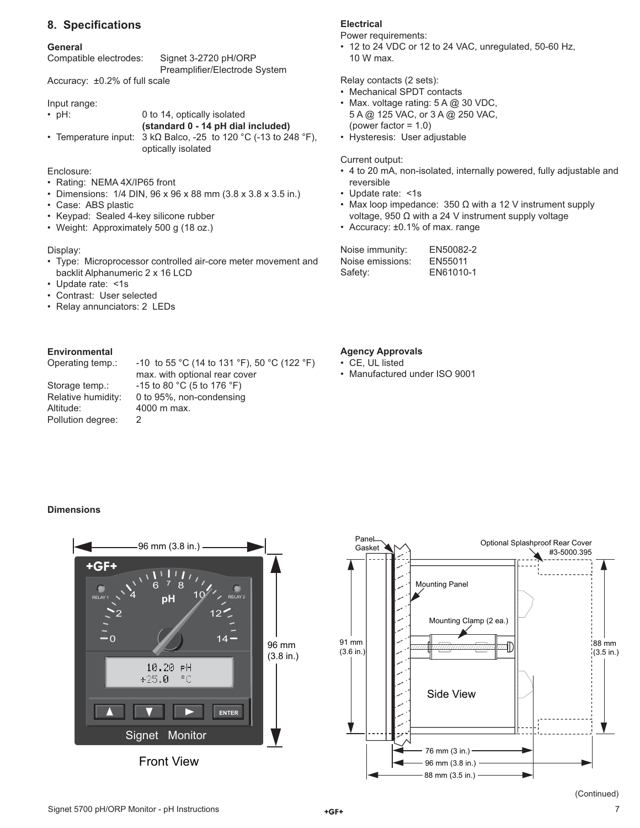## **8. Specifi cations**

#### **General**

| Compatible electrodes: | Signet 3-2720 pH/ORP          |
|------------------------|-------------------------------|
|                        | Preamplifier/Electrode System |

Accuracy: ±0.2% of full scale

Input range:

• pH: 0 to 14, optically isolated **(standard 0 - 14 pH dial included)** • Temperature input:  $3 kΩ$  Balco, -25 to 120 °C (-13 to 248 °F),

optically isolated

Enclosure:

- Rating: NEMA 4X/IP65 front
- Dimensions: 1/4 DIN, 96 x 96 x 88 mm (3.8 x 3.8 x 3.5 in.)
- Case: ABS plastic
- Keypad: Sealed 4-key silicone rubber
- Weight: Approximately 500 g (18 oz.)

#### Display:

- Type: Microprocessor controlled air-core meter movement and backlit Alphanumeric 2 x 16 LCD
- Update rate: <1s
- Contrast: User selected
- Relay annunciators: 2 LEDs

#### **Environmental**

Operating temp.: -10 to 55 °C (14 to 131 °F), 50 °C (122 °F)

Altitude: 4000 m max. Pollution degree: 2

 max. with optional rear cover Storage temp.:  $-15$  to 80 °C (5 to 176 °F) Relative humidity: 0 to 95%, non-condensing

## **Electrical**

Power requirements:

• 12 to 24 VDC or 12 to 24 VAC, unregulated, 50-60 Hz, 10 W max.

Relay contacts (2 sets):

- Mechanical SPDT contacts
- Max. voltage rating: 5 A @ 30 VDC, 5 A @ 125 VAC, or 3 A @ 250 VAC, (power factor = 1.0)
- Hysteresis: User adjustable

Current output:

- 4 to 20 mA, non-isolated, internally powered, fully adjustable and reversible
- Update rate: <1s
- Max loop impedance:  $350 \Omega$  with a 12 V instrument supply voltage, 950 Ω with a 24 V instrument supply voltage
- Accuracy: ±0.1% of max. range

| Noise immunity:  | EN50082-2 |
|------------------|-----------|
| Noise emissions: | EN55011   |
| Safety:          | EN61010-1 |

## **Agency Approvals**

- CE, UL listed
- Manufactured under ISO 9001

#### **Dimensions**



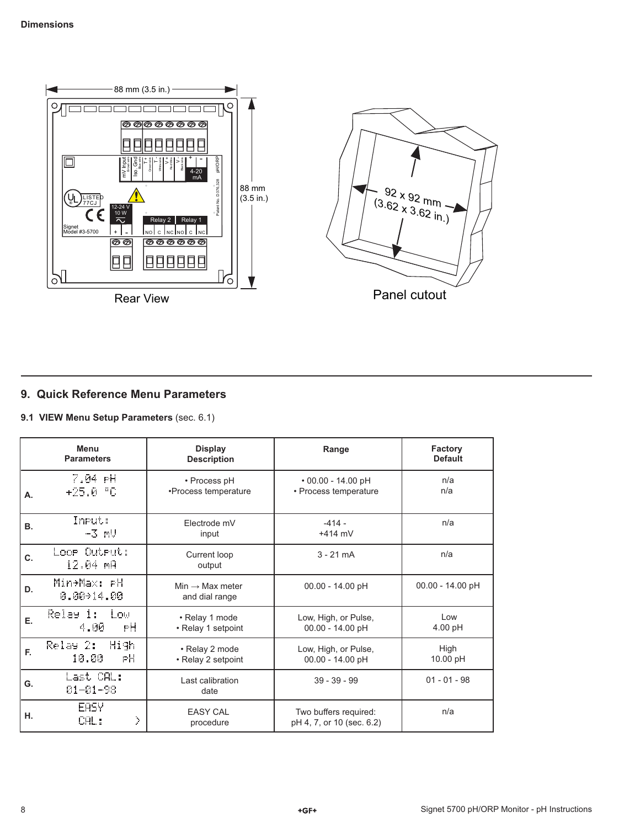

## **9. Quick Reference Menu Parameters**

**9.1 VIEW Menu Setup Parameters** (sec. 6.1)

|    | <b>Menu</b><br><b>Parameters</b> | <b>Display</b><br><b>Description</b>          | Range                                              | <b>Factory</b><br><b>Default</b> |
|----|----------------------------------|-----------------------------------------------|----------------------------------------------------|----------------------------------|
| А. | 7.04 PH<br>+25.0 °C              | • Process pH<br>•Process temperature          | $\cdot$ 00.00 - 14.00 pH<br>• Process temperature  | n/a<br>n/a                       |
| В. | Input:<br>$-3$ $mU$              | Electrode mV<br>input                         | $-414 -$<br>$+414$ mV                              | n/a                              |
| C. | Loor Outrut:<br>12.04 mA         | Current loop<br>output                        | $3 - 21$ mA                                        | n/a                              |
| D. | Min÷Max: PH<br>$0.00 \pm 14.00$  | $Min \rightarrow Max$ meter<br>and dial range | $00.00 - 14.00$ pH                                 | 00.00 - 14.00 pH                 |
| Е. | Relay 1:<br>l ou<br>4.00<br>РH   | • Relay 1 mode<br>• Relay 1 setpoint          | Low, High, or Pulse,<br>00.00 - 14.00 pH           | $\log$<br>$4.00$ pH              |
| E. | Relay 2: High<br>РH<br>10.00     | • Relay 2 mode<br>• Relay 2 setpoint          | Low, High, or Pulse,<br>00.00 - 14.00 pH           | High<br>10.00 pH                 |
| G. | Last CAL:<br>01-01-98            | Last calibration<br>date                      | $39 - 39 - 99$                                     | $01 - 01 - 98$                   |
| н. | <b>EASY</b><br>X<br>CAL:         | <b>EASY CAL</b><br>procedure                  | Two buffers required:<br>pH 4, 7, or 10 (sec. 6.2) | n/a                              |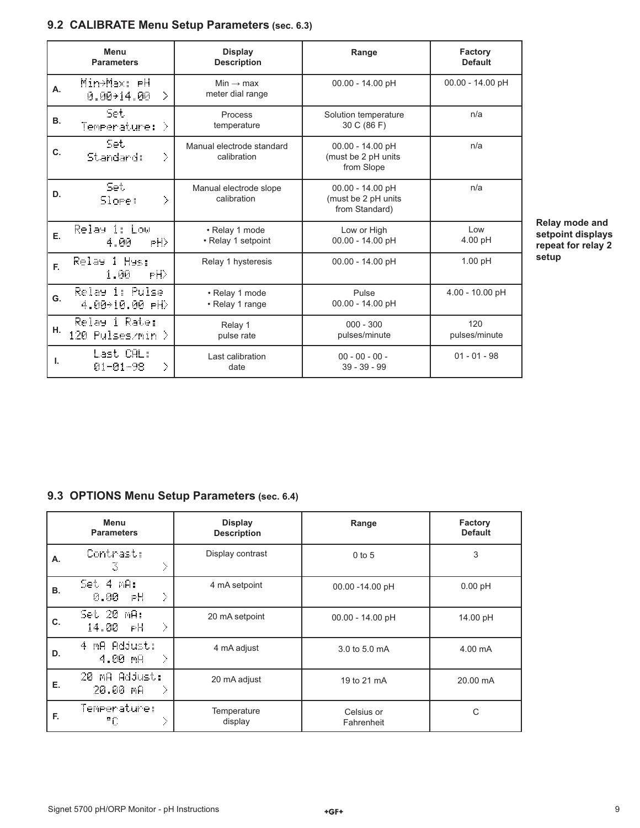# **9.2 CALIBRATE Menu Setup Parameters (sec. 6.3)**

|           | Menu<br><b>Parameters</b>                  | <b>Display</b><br><b>Description</b>      | Range                                                     | Factory<br><b>Default</b> |
|-----------|--------------------------------------------|-------------------------------------------|-----------------------------------------------------------|---------------------------|
| А.        | Min÷Max: <del>P</del> H<br>0.0014.00<br>D. | Min $\rightarrow$ max<br>meter dial range | 00.00 - 14.00 pH                                          | 00.00 - 14.00 pH          |
| <b>B.</b> | Set.<br>Temperature: >                     | Process<br>temperature                    | Solution temperature<br>30 C (86 F)                       | n/a                       |
| C.        | Set.<br>Standard:<br>X                     | Manual electrode standard<br>calibration  | 00.00 - 14.00 pH<br>(must be 2 pH units<br>from Slope     | n/a                       |
| D.        | Set.<br>X<br>Slore:                        | Manual electrode slope<br>calibration     | 00.00 - 14.00 pH<br>(must be 2 pH units<br>from Standard) | n/a                       |
| Е.        | Relay i: Low<br>PH)<br>4.คิค               | • Relay 1 mode<br>• Relay 1 setpoint      | Low or High<br>00.00 - 14.00 pH                           | Low<br>$4.00$ pH          |
| E.        | Relay<br>1 Hys:<br>PH)<br>1.00             | Relay 1 hysteresis                        | 00.00 - 14.00 pH                                          | $1.00$ pH                 |
| G.        | Relay 1: Pulse<br>4.00+10.00 PH)           | • Relay 1 mode<br>• Relay 1 range         | Pulse<br>00.00 - 14.00 pH                                 | 4.00 - 10.00 pH           |
| н.        | Relay 1 Rate:<br>120 Pulses/min >          | Relay 1<br>pulse rate                     | $000 - 300$<br>pulses/minute                              | 120<br>pulses/minute      |
| L.        | Last CAL:<br>У<br>01-01-98                 | Last calibration<br>date                  | $00 - 00 - 00 -$<br>$39 - 39 - 99$                        | $01 - 01 - 98$            |

**Relay mode and setpoint displays repeat for relay 2 setup**

# **9.3 OPTIONS Menu Setup Parameters (sec. 6.4)**

|    | Menu<br><b>Parameters</b>      | <b>Display</b><br><b>Description</b> | Range                    | Factory<br><b>Default</b> |
|----|--------------------------------|--------------------------------------|--------------------------|---------------------------|
| Α. | Contrast:<br>X<br>3            | Display contrast                     | $0$ to $5$               | 3                         |
| В. | Set 4 mA:<br>X<br>0.00<br>РH   | 4 mA setpoint                        | $00.00 - 14.00$ pH       | $0.00$ pH                 |
| C. | Set 20 mA:<br>X<br>14.00<br>РĦ | 20 mA setpoint                       | 00.00 - 14.00 pH         | 14.00 pH                  |
| D. | 4 MA Adjust:<br>X<br>$4.00$ mg | 4 mA adjust                          | 3.0 to 5.0 mA            | 4.00 mA                   |
| Е. | 20 MA Adjust:<br>20.00 mA<br>X | 20 mA adjust                         | 19 to 21 mA              | 20.00 mA                  |
| F. | Temperature:<br>Σ<br>۰c        | Temperature<br>display               | Celsius or<br>Fahrenheit | C                         |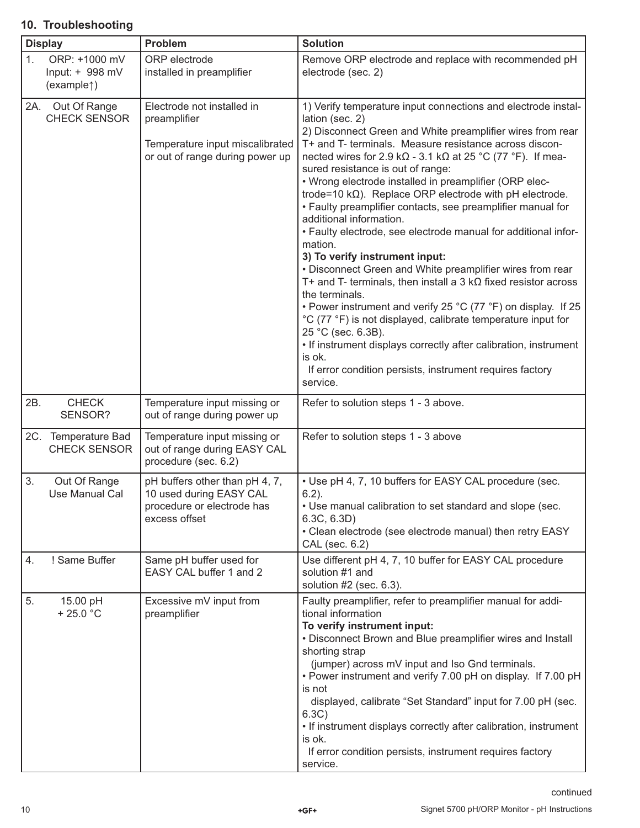# **10. Troubleshooting**

|     | <b>Display</b>                                              | Problem                                                                                                          | <b>Solution</b>                                                                                                                                                                                                                                                                                                                                                                                                                                                                                                                                                                                                                                                                                                                                                                                                                                                                                                                                                                                                                                                                                                                       |
|-----|-------------------------------------------------------------|------------------------------------------------------------------------------------------------------------------|---------------------------------------------------------------------------------------------------------------------------------------------------------------------------------------------------------------------------------------------------------------------------------------------------------------------------------------------------------------------------------------------------------------------------------------------------------------------------------------------------------------------------------------------------------------------------------------------------------------------------------------------------------------------------------------------------------------------------------------------------------------------------------------------------------------------------------------------------------------------------------------------------------------------------------------------------------------------------------------------------------------------------------------------------------------------------------------------------------------------------------------|
| 1.  | ORP: +1000 mV<br>Input: + 998 mV<br>(example <sup>†</sup> ) | ORP electrode<br>installed in preamplifier                                                                       | Remove ORP electrode and replace with recommended pH<br>electrode (sec. 2)                                                                                                                                                                                                                                                                                                                                                                                                                                                                                                                                                                                                                                                                                                                                                                                                                                                                                                                                                                                                                                                            |
| 2A. | Out Of Range<br><b>CHECK SENSOR</b>                         | Electrode not installed in<br>preamplifier<br>Temperature input miscalibrated<br>or out of range during power up | 1) Verify temperature input connections and electrode instal-<br>lation (sec. 2)<br>2) Disconnect Green and White preamplifier wires from rear<br>T+ and T- terminals. Measure resistance across discon-<br>nected wires for 2.9 k $\Omega$ - 3.1 k $\Omega$ at 25 °C (77 °F). If mea-<br>sured resistance is out of range:<br>• Wrong electrode installed in preamplifier (ORP elec-<br>trode=10 $k\Omega$ ). Replace ORP electrode with pH electrode.<br>• Faulty preamplifier contacts, see preamplifier manual for<br>additional information.<br>• Faulty electrode, see electrode manual for additional infor-<br>mation.<br>3) To verify instrument input:<br>• Disconnect Green and White preamplifier wires from rear<br>T+ and T- terminals, then install a 3 $k\Omega$ fixed resistor across<br>the terminals.<br>• Power instrument and verify 25 °C (77 °F) on display. If 25<br>°C (77 °F) is not displayed, calibrate temperature input for<br>25 °C (sec. 6.3B).<br>• If instrument displays correctly after calibration, instrument<br>is ok.<br>If error condition persists, instrument requires factory<br>service. |
| 2B. | <b>CHECK</b><br>SENSOR?                                     | Temperature input missing or<br>out of range during power up                                                     | Refer to solution steps 1 - 3 above.                                                                                                                                                                                                                                                                                                                                                                                                                                                                                                                                                                                                                                                                                                                                                                                                                                                                                                                                                                                                                                                                                                  |
|     | 2C. Temperature Bad<br><b>CHECK SENSOR</b>                  | Temperature input missing or<br>out of range during EASY CAL<br>procedure (sec. 6.2)                             | Refer to solution steps 1 - 3 above                                                                                                                                                                                                                                                                                                                                                                                                                                                                                                                                                                                                                                                                                                                                                                                                                                                                                                                                                                                                                                                                                                   |
| 3.  | Out Of Range<br>Use Manual Cal                              | pH buffers other than pH 4, 7,<br>10 used during EASY CAL<br>procedure or electrode has<br>excess offset         | • Use pH 4, 7, 10 buffers for EASY CAL procedure (sec.<br>$6.2$ ).<br>• Use manual calibration to set standard and slope (sec.<br>6.3C, 6.3D)<br>• Clean electrode (see electrode manual) then retry EASY<br>CAL (sec. 6.2)                                                                                                                                                                                                                                                                                                                                                                                                                                                                                                                                                                                                                                                                                                                                                                                                                                                                                                           |
| 4.  | ! Same Buffer                                               | Same pH buffer used for<br>EASY CAL buffer 1 and 2                                                               | Use different pH 4, 7, 10 buffer for EASY CAL procedure<br>solution #1 and<br>solution #2 (sec. 6.3).                                                                                                                                                                                                                                                                                                                                                                                                                                                                                                                                                                                                                                                                                                                                                                                                                                                                                                                                                                                                                                 |
| 5.  | 15.00 pH<br>$+25.0 °C$                                      | Excessive mV input from<br>preamplifier                                                                          | Faulty preamplifier, refer to preamplifier manual for addi-<br>tional information<br>To verify instrument input:<br>• Disconnect Brown and Blue preamplifier wires and Install<br>shorting strap<br>(jumper) across mV input and Iso Gnd terminals.<br>• Power instrument and verify 7.00 pH on display. If 7.00 pH<br>is not<br>displayed, calibrate "Set Standard" input for 7.00 pH (sec.<br>6.3C)<br>• If instrument displays correctly after calibration, instrument<br>is ok.<br>If error condition persists, instrument requires factory<br>service.                                                                                                                                                                                                                                                                                                                                                                                                                                                                                                                                                                           |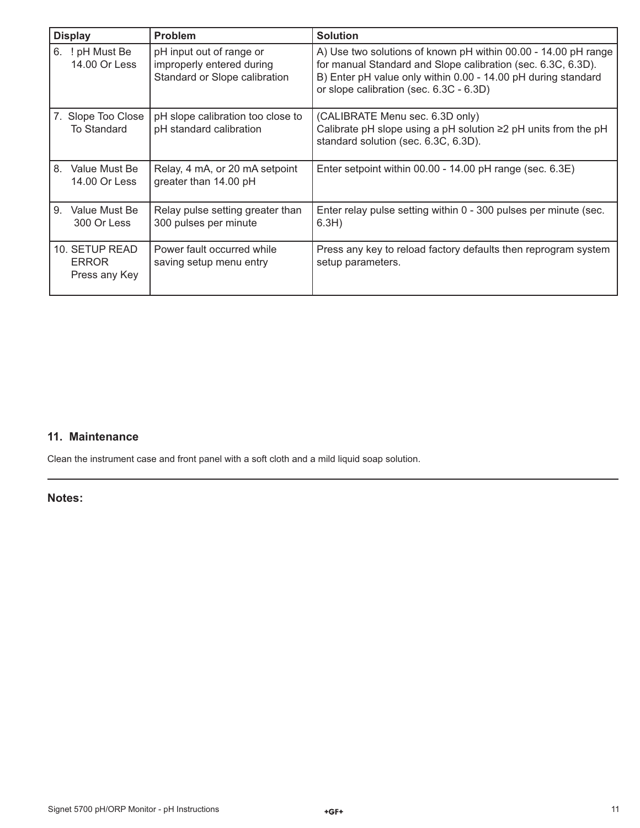| <b>Display</b>                                  | <b>Problem</b>                                                                         | <b>Solution</b>                                                                                                                                                                                                                            |
|-------------------------------------------------|----------------------------------------------------------------------------------------|--------------------------------------------------------------------------------------------------------------------------------------------------------------------------------------------------------------------------------------------|
| 6.<br>! pH Must Be<br>14.00 Or Less             | pH input out of range or<br>improperly entered during<br>Standard or Slope calibration | A) Use two solutions of known pH within 00.00 - 14.00 pH range<br>for manual Standard and Slope calibration (sec. 6.3C, 6.3D).<br>B) Enter pH value only within 0.00 - 14.00 pH during standard<br>or slope calibration (sec. 6.3C - 6.3D) |
| 7. Slope Too Close<br>To Standard               | pH slope calibration too close to<br>pH standard calibration                           | (CALIBRATE Menu sec. 6.3D only)<br>Calibrate pH slope using a pH solution $\geq$ pH units from the pH<br>standard solution (sec. 6.3C, 6.3D).                                                                                              |
| 8<br>Value Must Be<br>14.00 Or Less             | Relay, 4 mA, or 20 mA setpoint<br>greater than 14.00 pH                                | Enter setpoint within 00.00 - 14.00 pH range (sec. 6.3E)                                                                                                                                                                                   |
| 9.<br>Value Must Be<br>300 Or Less              | Relay pulse setting greater than<br>300 pulses per minute                              | Enter relay pulse setting within 0 - 300 pulses per minute (sec.<br>6.3H)                                                                                                                                                                  |
| 10. SETUP READ<br><b>ERROR</b><br>Press any Key | Power fault occurred while<br>saving setup menu entry                                  | Press any key to reload factory defaults then reprogram system<br>setup parameters.                                                                                                                                                        |

## **11. Maintenance**

Clean the instrument case and front panel with a soft cloth and a mild liquid soap solution.

**Notes:**